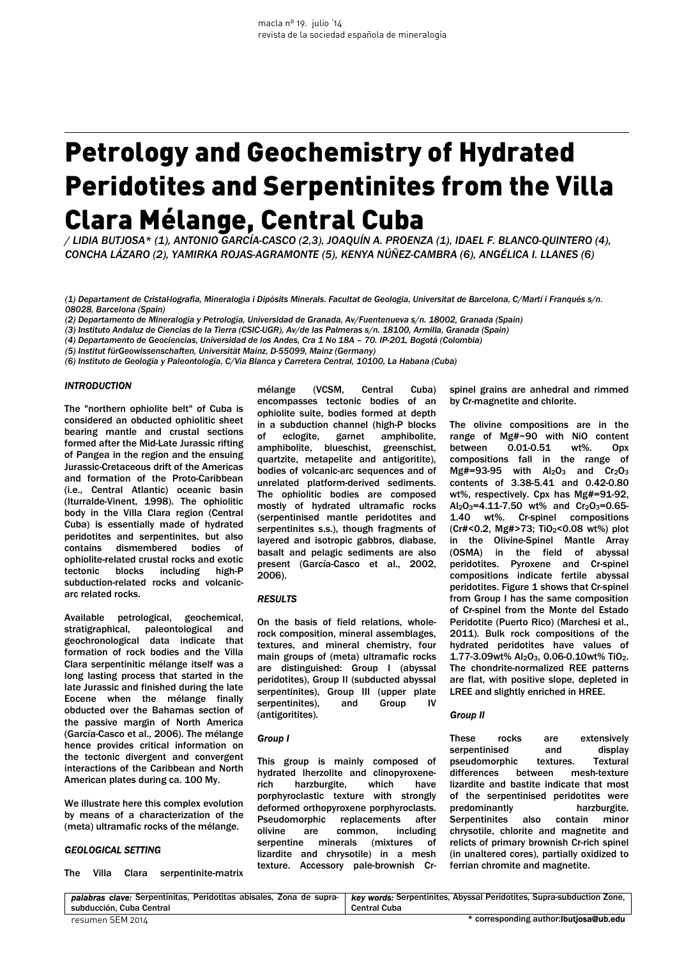# Petrology and Geochemistry of Hydrated Peridotites and Serpentinites from the Villa Clara Mélange, Central Cuba

*/ LIDIA BUTJOSA\* (1), ANTONIO GARCÍA-CASCO (2,3), JOAQUÍN A. PROENZA (1), IDAEL F. BLANCO-QUINTERO (4), CONCHA LÁZARO (2), YAMIRKA ROJAS-AGRAMONTE (5), KENYA NÚÑEZ-CAMBRA (6), ANGÉLICA I. LLANES (6)* 

*(1) Departament de Cristal·lografia, Mineralogia i Dipòsits Minerals. Facultat de Geologia, Universitat de Barcelona, C/Martí i Franqués s/n. 08028, Barcelona (Spain)* 

*(2) Departamento de Mineralogía y Petrología, Universidad de Granada, Av/Fuentenueva s/n. 18002, Granada (Spain)* 

*(3) Instituto Andaluz de Ciencias de la Tierra (CSIC-UGR), Av/de las Palmeras s/n. 18100, Armilla, Granada (Spain)* 

*(4) Departamento de Geociencias, Universidad de los Andes, Cra 1 No 18A – 70. IP-201, Bogotá (Colombia)* 

*(5) Institut fürGeowissenschaften, Universität Mainz, D-55099, Mainz (Germany)* 

*(6) Instituto de Geología y Paleontología, C/Via Blanca y Carretera Central, 10100, La Habana (Cuba)*

## *INTRODUCTION*

The "northern ophiolite belt" of Cuba is considered an obducted ophiolitic sheet bearing mantle and crustal sections formed after the Mid-Late Jurassic rifting of Pangea in the region and the ensuing Jurassic-Cretaceous drift of the Americas and formation of the Proto-Caribbean (i.e., Central Atlantic) oceanic basin (Iturralde-Vinent, 1998). The ophiolitic body in the Villa Clara region (Central Cuba) is essentially made of hydrated peridotites and serpentinites, but also contains dismembered bodies of ophiolite-related crustal rocks and exotic tectonic blocks including high-P subduction-related rocks and volcanicarc related rocks.

Available petrological, geochemical, stratigraphical, paleontological and geochronological data indicate that formation of rock bodies and the Villa Clara serpentinitic mélange itself was a long lasting process that started in the late Jurassic and finished during the late Eocene when the mélange finally obducted over the Bahamas section of the passive margin of North America (García-Casco et al., 2006). The mélange hence provides critical information on the tectonic divergent and convergent interactions of the Caribbean and North American plates during ca. 100 My.

We illustrate here this complex evolution by means of a characterization of the (meta) ultramafic rocks of the mélange.

## *GEOLOGICAL SETTING*

The Villa Clara serpentinite-matrix

mélange (VCSM, Central Cuba) encompasses tectonic bodies of an ophiolite suite, bodies formed at depth in a subduction channel (high-P blocks of eclogite, garnet amphibolite, amphibolite, blueschist, greenschist, quartzite, metapelite and antigoritite), bodies of volcanic-arc sequences and of unrelated platform-derived sediments. The ophiolitic bodies are composed mostly of hydrated ultramafic rocks (serpentinised mantle peridotites and serpentinites s.s.), though fragments of layered and isotropic gabbros, diabase, basalt and pelagic sediments are also present (García-Casco et al., 2002, 2006).

## *RESULTS*

On the basis of field relations, wholerock composition, mineral assemblages, textures, and mineral chemistry, four main groups of (meta) ultramafic rocks are distinguished: Group I (abyssal peridotites), Group II (subducted abyssal serpentinites), Group III (upper plate serpentinites), and Group IV (antigoritites).

#### *Group I*

This group is mainly composed of hydrated lherzolite and clinopyroxenerich harzburgite, which have porphyroclastic texture with strongly deformed orthopyroxene porphyroclasts. Pseudomorphic replacements after olivine are common, including serpentine minerals (mixtures of lizardite and chrysotile) in a mesh texture. Accessory pale-brownish Crspinel grains are anhedral and rimmed by Cr-magnetite and chlorite.

The olivine compositions are in the range of Mg#~90 with NiO content between 0.01-0.51 wt%. Opx compositions fall in the range of Mg#=93-95 with  $Al_2O_3$  and  $Cr_2O_3$ contents of 3.38-5.41 and 0.42-0.80 wt%, respectively. Cpx has Mg#=91-92,  $Al_2O_3=4.11-7.50$  wt% and  $Cr_2O_3=0.65-$ 1.40 wt%. Cr-spinel compositions (Cr#<0.2, Mg#>73; TiO2<0.08 wt%) plot in the Olivine-Spinel Mantle Array (OSMA) in the field of abyssal peridotites. Pyroxene and Cr-spinel compositions indicate fertile abyssal peridotites. Figure 1 shows that Cr-spinel from Group I has the same composition of Cr-spinel from the Monte del Estado Peridotite (Puerto Rico) (Marchesi et al., 2011). Bulk rock compositions of the hydrated peridotites have values of 1.77-3.09wt% Al2O3, 0.06-0.10wt% TiO2. The chondrite-normalized REE patterns are flat, with positive slope, depleted in LREE and slightly enriched in HREE.

#### *Group II*

These rocks are extensively serpentinised and display pseudomorphic textures. Textural differences between mesh-texture lizardite and bastite indicate that most of the serpentinised peridotites were predominantly harzburgite. Serpentinites also contain minor chrysotile, chlorite and magnetite and relicts of primary brownish Cr-rich spinel (in unaltered cores), partially oxidized to ferrian chromite and magnetite.

| subducción. Cuba Central | palabras clave: Serpentinitas, Peridotitas abisales, Zona de supra-   key words: Serpentinites, Abyssal Peridotites, Supra-subduction Zone,<br><b>Central Cuba</b> |
|--------------------------|--------------------------------------------------------------------------------------------------------------------------------------------------------------------|
| resumen SEM 2014         | * corresponding author: <b>butjosa@ub.edu</b>                                                                                                                      |